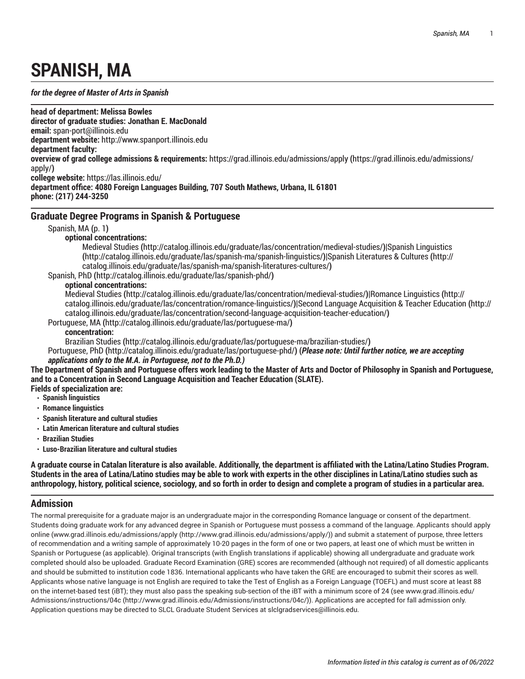# **SPANISH, MA**

### <span id="page-0-0"></span>*for the degree of Master of Arts in Spanish*

**head of department: Melissa Bowles director of graduate studies: Jonathan E. MacDonald email:** [span-port@illinois.edu](mailto:span-port@illinois.edu) **department website:** <http://www.spanport.illinois.edu> **department faculty: overview of grad college admissions & requirements:** [https://grad.illinois.edu/admissions/apply](https://grad.illinois.edu/admissions/apply/) **(**[https://grad.illinois.edu/admissions/](https://grad.illinois.edu/admissions/apply/) [apply/](https://grad.illinois.edu/admissions/apply/)**) college website:** <https://las.illinois.edu/> **department office: 4080 Foreign Languages Building, 707 South Mathews, Urbana, IL 61801 phone: (217) 244-3250**

## **Graduate Degree Programs in Spanish & Portuguese**

[Spanish,](#page-0-0) MA **(**[p. 1](#page-0-0)**)**

#### **optional concentrations:**

[Medieval](http://catalog.illinois.edu/graduate/las/concentration/medieval-studies/) Studies **(**<http://catalog.illinois.edu/graduate/las/concentration/medieval-studies/>**)|**[Spanish Linguistics](http://catalog.illinois.edu/graduate/las/spanish-ma/spanish-linguistics/) **(**<http://catalog.illinois.edu/graduate/las/spanish-ma/spanish-linguistics/>**)|**Spanish [Literatures](http://catalog.illinois.edu/graduate/las/spanish-ma/spanish-literatures-cultures/) & Cultures **(**[http://](http://catalog.illinois.edu/graduate/las/spanish-ma/spanish-literatures-cultures/) [catalog.illinois.edu/graduate/las/spanish-ma/spanish-literatures-cultures/](http://catalog.illinois.edu/graduate/las/spanish-ma/spanish-literatures-cultures/)**)**

[Spanish, PhD](http://catalog.illinois.edu/graduate/las/spanish-phd/) **(**<http://catalog.illinois.edu/graduate/las/spanish-phd/>**)**

#### **optional concentrations:**

[Medieval](http://catalog.illinois.edu/graduate/las/concentration/medieval-studies/) Studies **(**<http://catalog.illinois.edu/graduate/las/concentration/medieval-studies/>**)|**[Romance Linguistics](http://catalog.illinois.edu/graduate/las/concentration/romance-linguistics/) **(**[http://](http://catalog.illinois.edu/graduate/las/concentration/romance-linguistics/) [catalog.illinois.edu/graduate/las/concentration/romance-linguistics/](http://catalog.illinois.edu/graduate/las/concentration/romance-linguistics/)**)|**Second Language [Acquisition](http://catalog.illinois.edu/graduate/las/concentration/second-language-acquisition-teacher-education/) & Teacher Education **(**[http://](http://catalog.illinois.edu/graduate/las/concentration/second-language-acquisition-teacher-education/) [catalog.illinois.edu/graduate/las/concentration/second-language-acquisition-teacher-education/](http://catalog.illinois.edu/graduate/las/concentration/second-language-acquisition-teacher-education/)**)**

[Portuguese,](http://catalog.illinois.edu/graduate/las/portuguese-ma/) MA **(**<http://catalog.illinois.edu/graduate/las/portuguese-ma/>**)**

#### **concentration:**

[Brazilian Studies](http://catalog.illinois.edu/graduate/las/portuguese-ma/brazilian-studies/) **(**<http://catalog.illinois.edu/graduate/las/portuguese-ma/brazilian-studies/>**)**

[Portuguese,](http://catalog.illinois.edu/graduate/las/portuguese-phd/) PhD **(**<http://catalog.illinois.edu/graduate/las/portuguese-phd/>**) (***Please note: Until further notice, we are accepting*

#### *applications only to the M.A. in Portuguese, not to the Ph.D.)*

The Department of Spanish and Portuguese offers work leading to the Master of Arts and Doctor of Philosophy in Spanish and Portuguese, **and to a Concentration in Second Language Acquisition and Teacher Education (SLATE).**

**Fields of specialization are:**

- **Spanish linguistics**
- **Romance linguistics**
- **Spanish literature and cultural studies**
- **Latin American literature and cultural studies**
- **Brazilian Studies**
- **Luso-Brazilian literature and cultural studies**

A graduate course in Catalan literature is also available. Additionally, the department is affiliated with the Latina/Latino Studies Program. Students in the area of Latina/Latino studies may be able to work with experts in the other disciplines in Latina/Latino studies such as anthropology, history, political science, sociology, and so forth in order to design and complete a program of studies in a particular area.

## **Admission**

The normal prerequisite for a graduate major is an undergraduate major in the corresponding Romance language or consent of the department. Students doing graduate work for any advanced degree in Spanish or Portuguese must possess a command of the language. Applicants should apply online ([www.grad.illinois.edu/admissions/apply](http://www.grad.illinois.edu/admissions/apply/) ([http://www.grad.illinois.edu/admissions/apply/\)](http://www.grad.illinois.edu/admissions/apply/)) and submit a statement of purpose, three letters of recommendation and a writing sample of approximately 10-20 pages in the form of one or two papers, at least one of which must be written in Spanish or Portuguese (as applicable). Original transcripts (with English translations if applicable) showing all undergraduate and graduate work completed should also be uploaded. Graduate Record Examination (GRE) scores are recommended (although not required) of all domestic applicants and should be submitted to institution code 1836. International applicants who have taken the GRE are encouraged to submit their scores as well. Applicants whose native language is not English are required to take the Test of English as a Foreign Language (TOEFL) and must score at least 88 on the internet-based test (iBT); they must also pass the speaking sub-section of the iBT with a minimum score of 24 (see [www.grad.illinois.edu/](http://www.grad.illinois.edu/Admissions/instructions/04c/) [Admissions/instructions/04c](http://www.grad.illinois.edu/Admissions/instructions/04c/) ([http://www.grad.illinois.edu/Admissions/instructions/04c/\)](http://www.grad.illinois.edu/Admissions/instructions/04c/)). Applications are accepted for fall admission only. Application questions may be directed to SLCL Graduate Student Services at [slclgradservices@illinois.edu.](mailto:slclgradservices@illinois.edu)